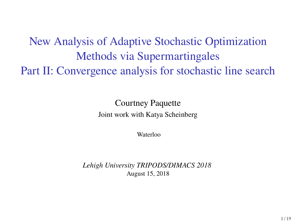New Analysis of Adaptive Stochastic Optimization Methods via Supermartingales Part II: Convergence analysis for stochastic line search

> Courtney Paquette Joint work with Katya Scheinberg

> > Waterloo

*Lehigh University TRIPODS/DIMACS 2018* August 15, 2018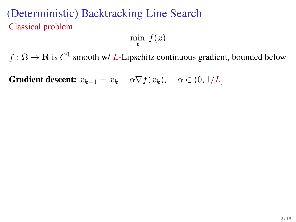# (Deterministic) Backtracking Line Search Classical problem

 $\min_{x} f(x)$ 

 $f : \Omega \to \mathbf{R}$  is  $C^1$  smooth w/ L-Lipschitz continuous gradient, bounded below

**Gradient descent:**  $x_{k+1} = x_k - \alpha \nabla f(x_k)$ ,  $\alpha \in (0, 1/L]$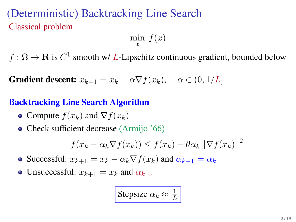# (Deterministic) Backtracking Line Search Classical problem

 $\min f(x)$ x

 $f : \Omega \to \mathbf{R}$  is  $C^1$  smooth w/ L-Lipschitz continuous gradient, bounded below

**Gradient descent:**  $x_{k+1} = x_k - \alpha \nabla f(x_k)$ ,  $\alpha \in (0, 1/L]$ 

#### **Backtracking Line Search Algorithm**

- Compute  $f(x_k)$  and  $\nabla f(x_k)$
- Check sufficient decrease (Armijo '66)

$$
f(x_k - \alpha_k \nabla f(x_k)) \le f(x_k) - \theta \alpha_k \|\nabla f(x_k)\|^2
$$

• Successful:  $x_{k+1} = x_k - \alpha_k \nabla f(x_k)$  and  $\alpha_{k+1} = \alpha_k$ 

• Unsuccessful:  $x_{k+1} = x_k$  and  $\alpha_k \downarrow$ 

Stepsize 
$$
\alpha_k \approx \frac{1}{L}
$$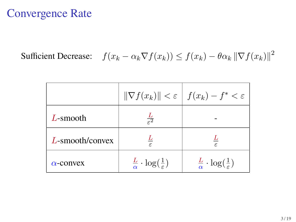#### Convergence Rate

Sufficient Decrease:  $f(x_k - \alpha_k \nabla f(x_k)) \le f(x_k) - \theta \alpha_k \|\nabla f(x_k)\|^2$ 

|                  |                                                      | $\ \nabla f(x_k)\  < \varepsilon \mid f(x_k) - f^* < \varepsilon$ |
|------------------|------------------------------------------------------|-------------------------------------------------------------------|
| $L$ -smooth      | $\frac{1}{6}$                                        |                                                                   |
| L-smooth/convex  |                                                      |                                                                   |
| $\alpha$ -convex | $\frac{L}{\alpha} \cdot \log(\frac{1}{\varepsilon})$ | $\frac{L}{\alpha} \cdot \log(\frac{1}{\varepsilon})$              |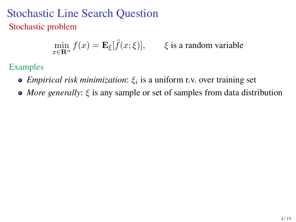### Stochastic Line Search Question Stochastic problem

$$
\min_{x \in \mathbf{R}^n} f(x) = \mathbf{E}_{\xi}[\tilde{f}(x; \xi)], \qquad \xi \text{ is a random variable}
$$

Examples

- *Empirical risk minimization*:  $\xi_i$  is a uniform r.v. over training set
- *More generally*: ξ is any sample or set of samples from data distribution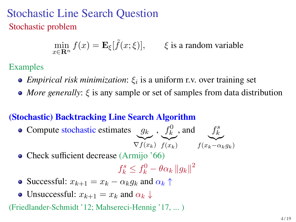### Stochastic Line Search Question Stochastic problem

 $\min_{x \in \mathbf{R}^n} f(x) = \mathbf{E}_{\xi}[\tilde{f}(x; \xi)], \qquad \xi \text{ is a random variable}$ 

#### Examples

- *Empirical risk minimization*:  $\xi_i$  is a uniform r.v. over training set
- *More generally*: ξ is any sample or set of samples from data distribution

#### **(Stochastic) Backtracking Line Search Algorithm**

- Compute stochastic estimates  $g_k$  $\widetilde{\nabla f(x_k)}$  $, f_k^0$  $\widetilde{f(x_k)}$ , and  $f_k^s$  $f(x_k-\alpha_k g_k)$
- Check sufficient decrease (Armijo '66)

$$
f_k^s \le f_k^0 - \theta \alpha_k \left\| g_k \right\|^2
$$

- Successful:  $x_{k+1} = x_k \alpha_k g_k$  and  $\alpha_k \uparrow$
- Unsuccessful:  $x_{k+1} = x_k$  and  $\alpha_k \downarrow$

(Friedlander-Schmidt '12; Mahsereci-Hennig '17, ... )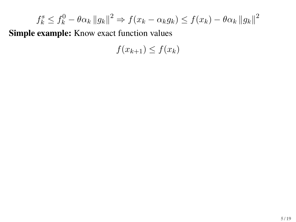$$
f_k^s \le f_k^0 - \theta \alpha_k \|g_k\|^2 \Rightarrow f(x_k - \alpha_k g_k) \le f(x_k) - \theta \alpha_k \|g_k\|^2
$$

 $f(x_{k+1}) \leq f(x_k)$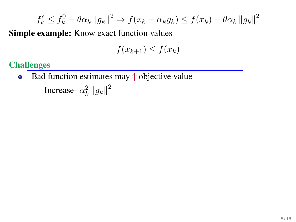$$
f_k^s \le f_k^0 - \theta \alpha_k \|g_k\|^2 \Rightarrow f(x_k - \alpha_k g_k) \le f(x_k) - \theta \alpha_k \|g_k\|^2
$$

 $f(x_{k+1}) \leq f(x_k)$ 

**Challenges**

Bad function estimates may ↑ objective value  $\bullet$ 

Increase- $\alpha_k^2 ||g_k||^2$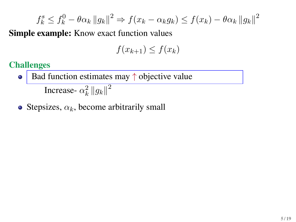$$
f_k^s \le f_k^0 - \theta \alpha_k \|g_k\|^2 \Rightarrow f(x_k - \alpha_k g_k) \le f(x_k) - \theta \alpha_k \|g_k\|^2
$$

$$
f(x_{k+1}) \le f(x_k)
$$

**Challenges**

- Bad function estimates may ↑ objective value  $\bullet$ Increase- $\alpha_k^2 ||g_k||^2$
- Stepsizes,  $\alpha_k$ , become arbitrarily small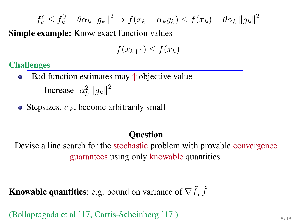$$
f_k^s \le f_k^0 - \theta \alpha_k \|g_k\|^2 \Rightarrow f(x_k - \alpha_k g_k) \le f(x_k) - \theta \alpha_k \|g_k\|^2
$$

 $f(x_{k+1}) < f(x_k)$ 

**Challenges**

- Bad function estimates may  $\uparrow$  objective value Increase- $\alpha_k^2 ||g_k||^2$
- Stepsizes,  $\alpha_k$ , become arbitrarily small

#### **Question**

Devise a line search for the stochastic problem with provable convergence guarantees using only knowable quantities.

**Knowable quantities**: e.g. bound on variance of  $\nabla \tilde{f}$ ,  $\tilde{f}$ 

(Bollapragada et al '17, Cartis-Scheinberg '17) <sup>5/19</sup>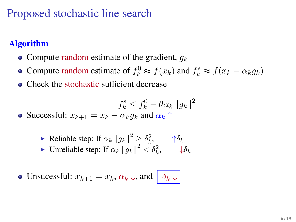# Proposed stochastic line search

#### **Algorithm**

- Compute random estimate of the gradient,  $q_k$
- Compute random estimate of  $f_k^0 \approx f(x_k)$  and  $f_k^s \approx f(x_k \alpha_k g_k)$
- Check the stochastic sufficient decrease

$$
f_k^s \le f_k^0 - \theta \alpha_k \left\| g_k \right\|^2
$$

• Successful:  $x_{k+1} = x_k - \alpha_k g_k$  and  $\alpha_k \uparrow$ 

Reliable step: If  $\alpha_k ||g_k||^2 \geq \delta_k^2$ ,  $\qquad \uparrow \delta_k$ ► Unreliable step: If  $\alpha_k ||g_k||^2 < \delta_k^2$ ,  $\downarrow \delta_k$ 

• Unsucessful:  $x_{k+1} = x_k, \alpha_k \downarrow$ , and  $\delta_k \downarrow$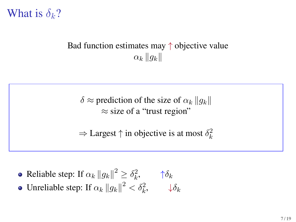

#### Bad function estimates may ↑ objective value  $\alpha_k \|g_k\|$

 $\delta \approx$  prediction of the size of  $\alpha_k ||q_k||$  $\approx$  size of a "trust region"

 $\Rightarrow$  Largest  $\uparrow$  in objective is at most  $\delta_k^2$ 

- Reliable step: If  $\alpha_k ||g_k||^2 \geq \delta_k^2$ ,  $\qquad \uparrow \delta_k$
- Unreliable step: If  $\alpha_k ||g_k||^2 < \delta_k^2$ ,  $\qquad \downarrow \delta_k$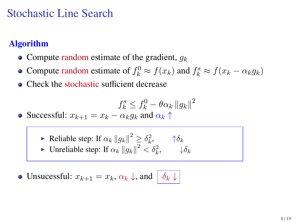## Stochastic Line Search

#### **Algorithm**

- Compute random estimate of the gradient,  $q_k$
- Compute random estimate of  $f_k^0 \approx f(x_k)$  and  $f_k^s \approx f(x_k \alpha_k g_k)$
- Check the stochastic sufficient decrease

$$
f_k^s \le f_k^0 - \theta \alpha_k \left\| g_k \right\|^2
$$

• Successful:  $x_{k+1} = x_k - \alpha_k g_k$  and  $\alpha_k \uparrow$ 

Reliable step: If  $\alpha_k ||g_k||^2 \geq \delta_k^2$ ,  $\qquad \uparrow \delta_k$ ► Unreliable step: If  $\alpha_k ||g_k||^2 < \delta_k^2$ ,  $\downarrow \delta_k$ 

• Unsucessful:  $x_{k+1} = x_k, \alpha_k \downarrow$ , and  $\delta_k \downarrow$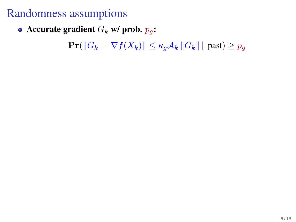• Accurate gradient  $G_k$  **w/** prob.  $p_q$ :

 $\Pr(||G_k - \nabla f(X_k)|| \leq \kappa_q \mathcal{A}_k ||G_k||$  | past)  $\geq p_g$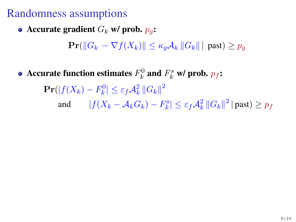• Accurate gradient  $G_k$  **w/** prob.  $p_q$ :

 $\Pr(\|G_k - \nabla f(X_k)\| \leq \kappa_a A_k \|G_k\|$  past)  $\geq p_q$ 

Accurate function estimates  $F_k^0$  and  $F_k^s$  w/ prob.  $p_f$ **:** 

 $\mathbf{Pr}(|f(X_k) - F_k^0| \leq \varepsilon_f \mathcal{A}_k^2 \left\| G_k \right\|^2$ and  $|f(X_k - A_kG_k) - F_k^s| \leq \varepsilon_f A_k^2 ||G_k||^2 |$  past)  $\geq p_f$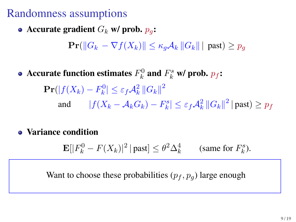• Accurate gradient  $G_k$  **w/** prob.  $p_a$ :

 $\Pr(||G_k - \nabla f(X_k)|| \leq \kappa_a \mathcal{A}_k ||G_k||$  past)  $\geq p_a$ 

Accurate function estimates  $F_k^0$  and  $F_k^s$  w/ prob.  $p_f$ **:** 

 $\mathbf{Pr}(|f(X_k) - F_k^0| \leq \varepsilon_f \mathcal{A}_k^2 \left\| G_k \right\|^2$ and  $|f(X_k - A_kG_k) - F_k^s| \leq \varepsilon_f A_k^2 ||G_k||^2 |$  past)  $\geq p_f$ 

#### **Variance condition**

 $\mathbf{E}[|F_k^0 - F(X_k)|^2 | \text{past}] \leq \theta^2 \Delta_k^4$  (same for  $F_k^s$ ).

Want to choose these probabilities  $(p_f, p_g)$  large enough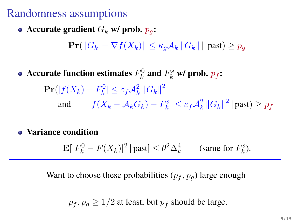• Accurate gradient  $G_k$  **w/** prob.  $p_q$ :

 $\Pr(||G_k - \nabla f(X_k)|| \leq \kappa_a \mathcal{A}_k ||G_k||$  past)  $\geq p_a$ 

Accurate function estimates  $F_k^0$  and  $F_k^s$  w/ prob.  $p_f$ **:** 

 $\mathbf{Pr}(|f(X_k) - F_k^0| \leq \varepsilon_f \mathcal{A}_k^2 \left\| G_k \right\|^2$ and  $|f(X_k - A_kG_k) - F_k^s| \leq \varepsilon_f A_k^2 ||G_k||^2 |$  past)  $\geq p_f$ 

#### **Variance condition**

 $\mathbf{E}[|F_k^0-F(X_k)|^2\,|$  past $]\leq \theta^2\Delta_k^4$ (same for  $F_k^s$ ).

Want to choose these probabilities  $(p_f, p_g)$  large enough

 $p_f, p_g \geq 1/2$  at least, but  $p_f$  should be large.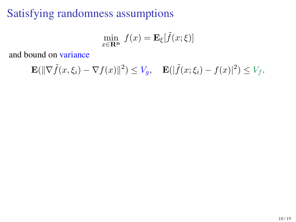# Satisfying randomness assumptions

$$
\min_{x \in \mathbf{R}^n} f(x) = \mathbf{E}_{\xi}[\tilde{f}(x; \xi)]
$$

and bound on variance

$$
\mathbf{E}(\|\nabla \tilde{f}(x,\xi_i) - \nabla f(x)\|^2) \le V_g, \quad \mathbf{E}(|\tilde{f}(x,\xi_i) - f(x)|^2) \le V_f.
$$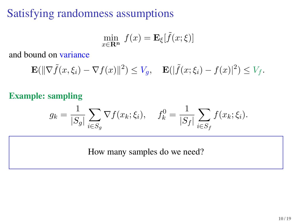# Satisfying randomness assumptions

$$
\min_{x \in \mathbf{R}^n} f(x) = \mathbf{E}_{\xi}[\tilde{f}(x; \xi)]
$$

and bound on variance

$$
\mathbf{E}(\|\nabla \tilde{f}(x,\xi_i) - \nabla f(x)\|^2) \le V_g, \quad \mathbf{E}(|\tilde{f}(x,\xi_i) - f(x)|^2) \le V_f.
$$

#### **Example: sampling**

$$
g_k = \frac{1}{|S_g|} \sum_{i \in S_g} \nabla f(x_k; \xi_i), \quad f_k^0 = \frac{1}{|S_f|} \sum_{i \in S_f} f(x_k; \xi_i).
$$

How many samples do we need?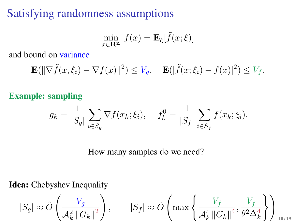# Satisfying randomness assumptions

$$
\min_{x \in \mathbf{R}^n} f(x) = \mathbf{E}_{\xi}[\tilde{f}(x; \xi)]
$$

and bound on variance

$$
\mathbf{E}(\|\nabla \tilde{f}(x,\xi_i) - \nabla f(x)\|^2) \le V_g, \quad \mathbf{E}(|\tilde{f}(x,\xi_i) - f(x)|^2) \le V_f.
$$

#### **Example: sampling**

$$
g_k = \frac{1}{|S_g|} \sum_{i \in S_g} \nabla f(x_k; \xi_i), \quad f_k^0 = \frac{1}{|S_f|} \sum_{i \in S_f} f(x_k; \xi_i).
$$

How many samples do we need?

**Idea:** Chebyshev Inequality

$$
|S_g| \approx \tilde{O}\left(\frac{V_g}{\mathcal{A}_k^2 \|G_k\|^2}\right), \qquad |S_f| \approx \tilde{O}\left(\max\left\{\frac{V_f}{\mathcal{A}_k^4 \|G_k\|^4}, \frac{V_f}{\theta^2 \Delta_k^4}\right\}\right)_{10/19}
$$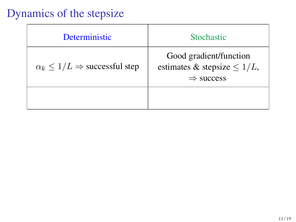# Dynamics of the stepsize

| Deterministic                                   | <b>Stochastic</b>                                                                    |
|-------------------------------------------------|--------------------------------------------------------------------------------------|
| $\alpha_k \leq 1/L \Rightarrow$ successful step | Good gradient/function<br>estimates & stepsize $\leq 1/L$ ,<br>$\Rightarrow$ success |
|                                                 |                                                                                      |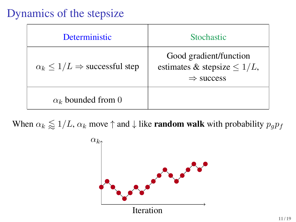## Dynamics of the stepsize

| <b>Deterministic</b>                            | <b>Stochastic</b>                                                                    |
|-------------------------------------------------|--------------------------------------------------------------------------------------|
| $\alpha_k \leq 1/L \Rightarrow$ successful step | Good gradient/function<br>estimates & stepsize $\leq 1/L$ ,<br>$\Rightarrow$ success |
| $\alpha_k$ bounded from 0                       |                                                                                      |

When  $\alpha_k \leq 1/L$ ,  $\alpha_k$  move  $\uparrow$  and  $\downarrow$  like **random walk** with probability  $p_g p_f$ 

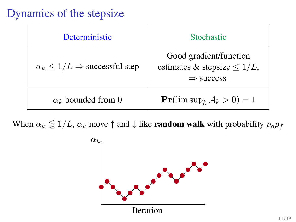## Dynamics of the stepsize

| <b>Deterministic</b>                            | <b>Stochastic</b>                                                                    |
|-------------------------------------------------|--------------------------------------------------------------------------------------|
| $\alpha_k \leq 1/L \Rightarrow$ successful step | Good gradient/function<br>estimates & stepsize $\leq 1/L$ ,<br>$\Rightarrow$ success |
| $\alpha_k$ bounded from 0                       | $Pr(\limsup_k A_k > 0) = 1$                                                          |

When  $\alpha_k \leq 1/L$ ,  $\alpha_k$  move  $\uparrow$  and  $\downarrow$  like **random walk** with probability  $p_g p_f$ 

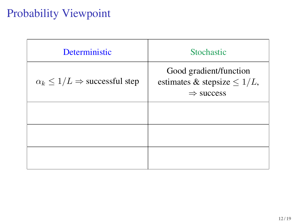| Deterministic                                   | <b>Stochastic</b>                                                                    |
|-------------------------------------------------|--------------------------------------------------------------------------------------|
| $\alpha_k \leq 1/L \Rightarrow$ successful step | Good gradient/function<br>estimates & stepsize $\leq 1/L$ ,<br>$\Rightarrow$ success |
|                                                 |                                                                                      |
|                                                 |                                                                                      |
|                                                 |                                                                                      |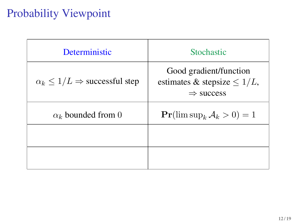| Deterministic                                   | <b>Stochastic</b>                                                                    |
|-------------------------------------------------|--------------------------------------------------------------------------------------|
| $\alpha_k \leq 1/L \Rightarrow$ successful step | Good gradient/function<br>estimates & stepsize $\leq 1/L$ ,<br>$\Rightarrow$ success |
| $\alpha_k$ bounded from 0                       | $\Pr(\limsup_k A_k > 0) = 1$                                                         |
|                                                 |                                                                                      |
|                                                 |                                                                                      |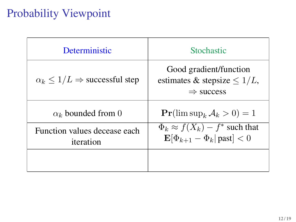| Deterministic                                   | <b>Stochastic</b>                                                                              |
|-------------------------------------------------|------------------------------------------------------------------------------------------------|
| $\alpha_k \leq 1/L \Rightarrow$ successful step | Good gradient/function<br>estimates & stepsize $\leq 1/L$ ,<br>$\Rightarrow$ success           |
| $\alpha_k$ bounded from 0                       | $Pr(\limsup_k A_k > 0) = 1$                                                                    |
| Function values decease each<br>iteration       | $\Phi_k \approx f(X_k) - f^*$ such that<br>$\mathbf{E}[\Phi_{k+1} - \Phi_k   \text{past}] < 0$ |
|                                                 |                                                                                                |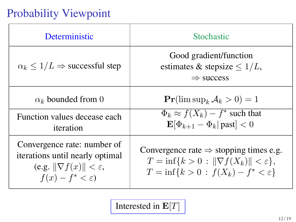| Deterministic                                                                                                                           | Stochastic                                                                                                                                                        |
|-----------------------------------------------------------------------------------------------------------------------------------------|-------------------------------------------------------------------------------------------------------------------------------------------------------------------|
| $\alpha_k \leq 1/L \Rightarrow$ successful step                                                                                         | Good gradient/function<br>estimates & stepsize $\leq 1/L$ ,<br>$\Rightarrow$ success                                                                              |
| $\alpha_k$ bounded from 0                                                                                                               | $\Pr(\limsup_k A_k > 0) = 1$                                                                                                                                      |
| Function values decease each<br>iteration                                                                                               | $\Phi_k \approx f(X_k) - f^*$ such that<br>$\mathbf{E}[\Phi_{k+1} - \Phi_k   \text{past}] < 0$                                                                    |
| Convergence rate: number of<br>iterations until nearly optimal<br>(e.g. $\ \nabla f(x)\  < \varepsilon$ ,<br>$f(x) - f^* < \varepsilon$ | Convergence rate $\Rightarrow$ stopping times e.g.<br>$T = \inf\{k > 0 :   \nabla f(X_k)   < \varepsilon\},\$<br>$T = \inf\{k > 0 : f(X_k) - f^* < \varepsilon\}$ |

Interested in  $\mathbf{E}[T]$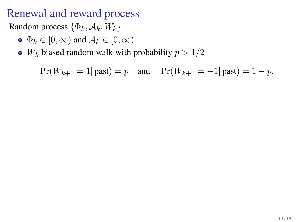### Renewal and reward process

Random process  $\{\Phi_k, \mathcal{A}_k, W_k\}$ 

- $\bullet \Phi_k \in [0, \infty)$  and  $\mathcal{A}_k \in [0, \infty)$
- $W_k$  biased random walk with probability  $p > 1/2$

 $Pr(W_{k+1} = 1 | \text{past}) = p$  and  $Pr(W_{k+1} = -1 | \text{past}) = 1 - p$ .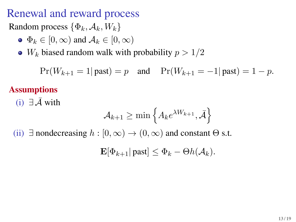### Renewal and reward process

Random process  $\{\Phi_k, \mathcal{A}_k, W_k\}$ 

- $\bullet \Phi_k \in [0, \infty)$  and  $\mathcal{A}_k \in [0, \infty)$
- $W_k$  biased random walk with probability  $p > 1/2$

 $Pr(W_{k+1} = 1 | \text{ past}) = p$  and  $Pr(W_{k+1} = -1 | \text{past}) = 1 - p$ .

#### **Assumptions**

(i)  $∃\bar{A}$  with

$$
\mathcal{A}_{k+1} \geq \min\left\{A_k e^{\lambda W_{k+1}}, \bar{\mathcal{A}}\right\}
$$

(ii)  $\exists$  nondecreasing  $h : [0, \infty) \to (0, \infty)$  and constant  $\Theta$  s.t.

$$
\mathbf{E}[\Phi_{k+1} | \text{past}] \leq \Phi_k - \Theta h(\mathcal{A}_k).
$$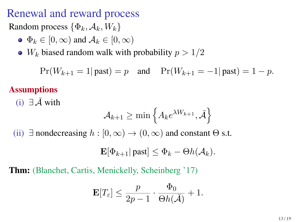#### Renewal and reward process

Random process  $\{\Phi_k, \mathcal{A}_k, W_k\}$ 

- $\bullet \Phi_k \in [0, \infty)$  and  $\mathcal{A}_k \in [0, \infty)$
- $W_k$  biased random walk with probability  $p > 1/2$

 $Pr(W_{k+1} = 1 | \text{ past}) = p$  and  $Pr(W_{k+1} = -1 | \text{past}) = 1 - p$ .

#### **Assumptions**

(i)  $\exists \bar{A}$  with

$$
\mathcal{A}_{k+1} \geq \min\left\{A_k e^{\lambda W_{k+1}}, \bar{\mathcal{A}}\right\}
$$

(ii)  $\exists$  nondecreasing  $h : [0, \infty) \to (0, \infty)$  and constant  $\Theta$  s.t.

$$
\mathbf{E}[\Phi_{k+1} | \text{past}] \leq \Phi_k - \Theta h(\mathcal{A}_k).
$$

**Thm:** (Blanchet, Cartis, Menickelly, Scheinberg '17)

$$
\mathbf{E}[T_{\varepsilon}] \leq \frac{p}{2p-1} \cdot \frac{\Phi_0}{\Theta h(\bar{\mathcal{A}})} + 1.
$$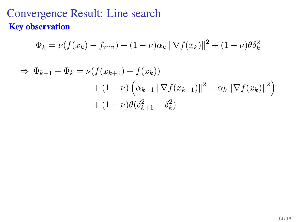### Convergence Result: Line search **Key observation**

$$
\Phi_k = \nu(f(x_k) - f_{\min}) + (1 - \nu)\alpha_k \|\nabla f(x_k)\|^2 + (1 - \nu)\theta \delta_k^2
$$

$$
\Rightarrow \Phi_{k+1} - \Phi_k = \nu(f(x_{k+1}) - f(x_k)) + (1 - \nu) \left( \alpha_{k+1} \|\nabla f(x_{k+1})\|^2 - \alpha_k \|\nabla f(x_k)\|^2 \right) + (1 - \nu) \theta(\delta_{k+1}^2 - \delta_k^2)
$$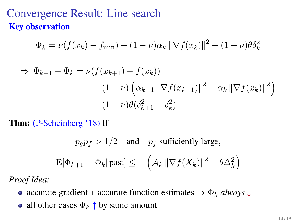#### Convergence Result: Line search **Key observation**

$$
\Phi_k = \nu(f(x_k) - f_{\min}) + (1 - \nu)\alpha_k \|\nabla f(x_k)\|^2 + (1 - \nu)\theta \delta_k^2
$$

$$
\Rightarrow \Phi_{k+1} - \Phi_k = \nu(f(x_{k+1}) - f(x_k)) + (1 - \nu) \left( \alpha_{k+1} ||\nabla f(x_{k+1})||^2 - \alpha_k ||\nabla f(x_k)||^2 \right) + (1 - \nu) \theta (\delta_{k+1}^2 - \delta_k^2)
$$

**Thm:** (P-Scheinberg '18) If

$$
p_g p_f > 1/2
$$
 and  $p_f$  sufficiently large,  

$$
\mathbf{E}[\Phi_{k+1} - \Phi_k | \text{past}] \le -\left(\mathcal{A}_k \left\| \nabla f(X_k) \right\|^2 + \theta \Delta_k^2\right)
$$

*Proof Idea:*

- accurate gradient + accurate function estimates  $\Rightarrow \Phi_k$  *always*  $\downarrow$
- all other cases  $\Phi_k \uparrow$  by same amount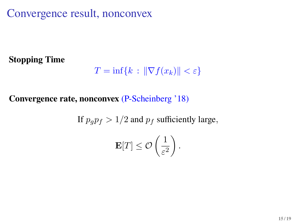Convergence result, nonconvex

#### **Stopping Time**

$$
T = \inf\{k \,:\, \|\nabla f(x_k)\| < \varepsilon\}
$$

#### **Convergence rate, nonconvex** (P-Scheinberg '18)

If 
$$
p_g p_f > 1/2
$$
 and  $p_f$  sufficiently large,  

$$
\mathbf{E}[T] \le \mathcal{O}\left(\frac{1}{\varepsilon^2}\right).
$$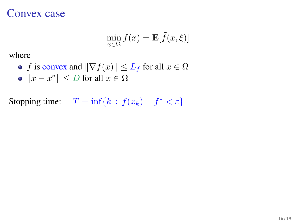#### Convex case

$$
\min_{x \in \Omega} f(x) = \mathbf{E}[\tilde{f}(x,\xi)]
$$

where

\n- *f* is convex and 
$$
\|\nabla f(x)\| \leq L_f
$$
 for all  $x \in \Omega$
\n- $\|x - x^*\| \leq D$  for all  $x \in \Omega$
\n

Stopping time:  $T = \inf\{k : f(x_k) - f^* < \varepsilon\}$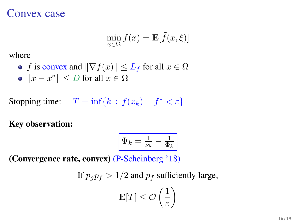#### Convex case

$$
\min_{x \in \Omega} f(x) = \mathbf{E}[\tilde{f}(x,\xi)]
$$

where

\n- *f* is convex and 
$$
\|\nabla f(x)\| \leq L_f
$$
 for all  $x \in \Omega$
\n- $\|x - x^*\| \leq D$  for all  $x \in \Omega$
\n

Stopping time:  $T = \inf\{k : f(x_k) - f^* < \varepsilon\}$ 

#### **Key observation:**

$$
\boxed{\Psi_k = \tfrac{1}{\nu \varepsilon} - \tfrac{1}{\Phi_k}}
$$

**(Convergence rate, convex)** (P-Scheinberg '18)

If 
$$
p_g p_f > 1/2
$$
 and  $p_f$  sufficiently large,

$$
\mathbf{E}[T] \leq \mathcal{O}\left(\frac{1}{\varepsilon}\right)
$$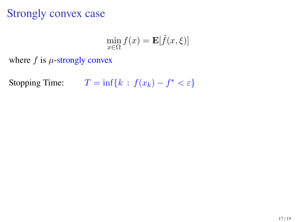### Strongly convex case

$$
\min_{x \in \Omega} f(x) = \mathbf{E}[\tilde{f}(x,\xi)]
$$

where  $f$  is  $\mu$ -strongly convex

Stopping Time:  $T = \inf\{k : f(x_k) - f^* < \varepsilon\}$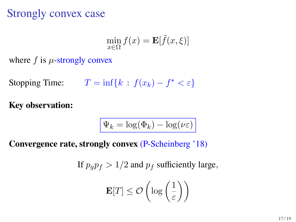### Strongly convex case

$$
\min_{x \in \Omega} f(x) = \mathbf{E}[\tilde{f}(x,\xi)]
$$

where  $f$  is  $\mu$ -strongly convex

Stopping Time:  $T = \inf\{k : f(x_k) - f^* < \varepsilon\}$ 

**Key observation:**

$$
\Psi_k = \log(\Phi_k) - \log(\nu \varepsilon)
$$

**Convergence rate, strongly convex** (P-Scheinberg '18)

If  $p_q p_f > 1/2$  and  $p_f$  sufficiently large,

$$
\mathbf{E}[T] \leq \mathcal{O}\left(\log\left(\frac{1}{\varepsilon}\right)\right)
$$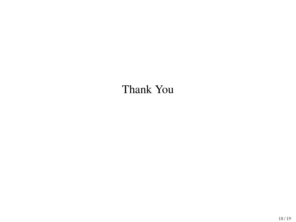# Thank You